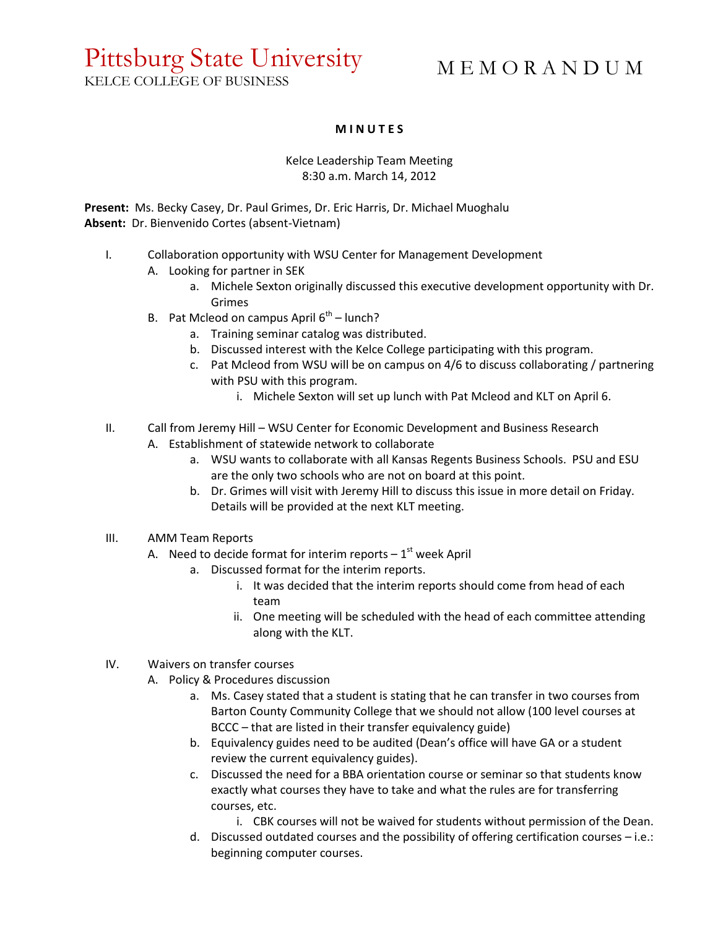## Pittsburg State University

M E M O R A N D U M

## KELCE COLLEGE OF BUSINESS

## **M I N U T E S**

## Kelce Leadership Team Meeting 8:30 a.m. March 14, 2012

**Present:** Ms. Becky Casey, Dr. Paul Grimes, Dr. Eric Harris, Dr. Michael Muoghalu **Absent:** Dr. Bienvenido Cortes (absent-Vietnam)

- I. Collaboration opportunity with WSU Center for Management Development
	- A. Looking for partner in SEK
		- a. Michele Sexton originally discussed this executive development opportunity with Dr. Grimes
	- B. Pat Mcleod on campus April 6<sup>th</sup> lunch?
		- a. Training seminar catalog was distributed.
		- b. Discussed interest with the Kelce College participating with this program.
		- c. Pat Mcleod from WSU will be on campus on 4/6 to discuss collaborating / partnering with PSU with this program.
			- i. Michele Sexton will set up lunch with Pat Mcleod and KLT on April 6.
- II. Call from Jeremy Hill WSU Center for Economic Development and Business Research A. Establishment of statewide network to collaborate
	- a. WSU wants to collaborate with all Kansas Regents Business Schools. PSU and ESU are the only two schools who are not on board at this point.
	- b. Dr. Grimes will visit with Jeremy Hill to discuss this issue in more detail on Friday. Details will be provided at the next KLT meeting.
- III. AMM Team Reports
	- A. Need to decide format for interim reports  $-1<sup>st</sup>$  week April
		- a. Discussed format for the interim reports.
			- i. It was decided that the interim reports should come from head of each team
			- ii. One meeting will be scheduled with the head of each committee attending along with the KLT.
- IV. Waivers on transfer courses
	- A. Policy & Procedures discussion
		- a. Ms. Casey stated that a student is stating that he can transfer in two courses from Barton County Community College that we should not allow (100 level courses at BCCC – that are listed in their transfer equivalency guide)
		- b. Equivalency guides need to be audited (Dean's office will have GA or a student review the current equivalency guides).
		- c. Discussed the need for a BBA orientation course or seminar so that students know exactly what courses they have to take and what the rules are for transferring courses, etc.
			- i. CBK courses will not be waived for students without permission of the Dean.
		- d. Discussed outdated courses and the possibility of offering certification courses i.e.: beginning computer courses.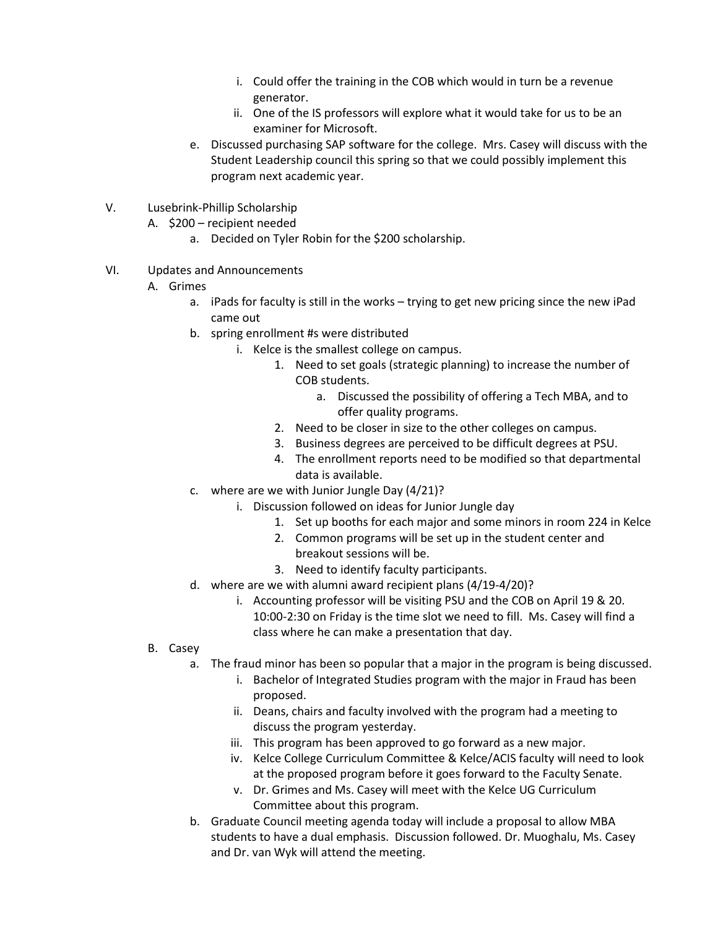- i. Could offer the training in the COB which would in turn be a revenue generator.
- ii. One of the IS professors will explore what it would take for us to be an examiner for Microsoft.
- e. Discussed purchasing SAP software for the college. Mrs. Casey will discuss with the Student Leadership council this spring so that we could possibly implement this program next academic year.
- V. Lusebrink-Phillip Scholarship
	- A. \$200 recipient needed
		- a. Decided on Tyler Robin for the \$200 scholarship.
- VI. Updates and Announcements
	- A. Grimes
		- a. iPads for faculty is still in the works trying to get new pricing since the new iPad came out
		- b. spring enrollment #s were distributed
			- i. Kelce is the smallest college on campus.
				- 1. Need to set goals (strategic planning) to increase the number of COB students.
					- a. Discussed the possibility of offering a Tech MBA, and to offer quality programs.
				- 2. Need to be closer in size to the other colleges on campus.
				- 3. Business degrees are perceived to be difficult degrees at PSU.
				- 4. The enrollment reports need to be modified so that departmental data is available.
		- c. where are we with Junior Jungle Day (4/21)?
			- i. Discussion followed on ideas for Junior Jungle day
				- 1. Set up booths for each major and some minors in room 224 in Kelce
				- 2. Common programs will be set up in the student center and breakout sessions will be.
				- 3. Need to identify faculty participants.
		- d. where are we with alumni award recipient plans (4/19-4/20)?
			- i. Accounting professor will be visiting PSU and the COB on April 19 & 20. 10:00-2:30 on Friday is the time slot we need to fill. Ms. Casey will find a class where he can make a presentation that day.
	- B. Casey
		- a. The fraud minor has been so popular that a major in the program is being discussed.
			- i. Bachelor of Integrated Studies program with the major in Fraud has been proposed.
			- ii. Deans, chairs and faculty involved with the program had a meeting to discuss the program yesterday.
			- iii. This program has been approved to go forward as a new major.
			- iv. Kelce College Curriculum Committee & Kelce/ACIS faculty will need to look at the proposed program before it goes forward to the Faculty Senate.
			- v. Dr. Grimes and Ms. Casey will meet with the Kelce UG Curriculum Committee about this program.
		- b. Graduate Council meeting agenda today will include a proposal to allow MBA students to have a dual emphasis. Discussion followed. Dr. Muoghalu, Ms. Casey and Dr. van Wyk will attend the meeting.